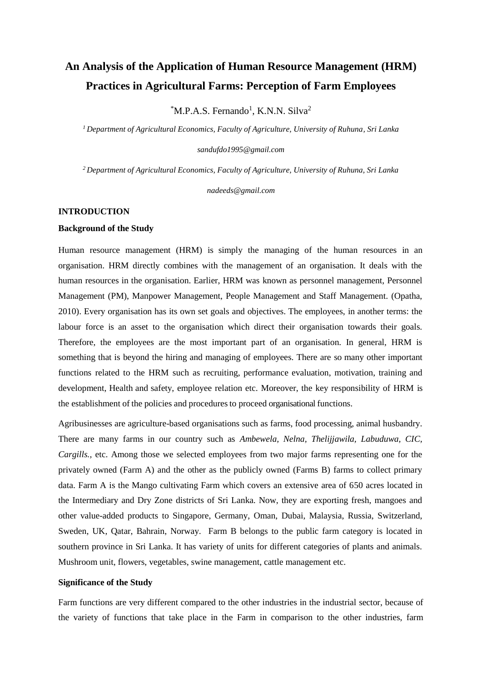# **An Analysis of the Application of Human Resource Management (HRM) Practices in Agricultural Farms: Perception of Farm Employees**

 ${}^{\ast}$ M.P.A.S. Fernando<sup>1</sup>, K.N.N. Silva<sup>2</sup>

*<sup>1</sup>Department of Agricultural Economics, Faculty of Agriculture, University of Ruhuna, Sri Lanka* 

*[sandufdo1995@gmail.com](mailto:sandufdo1995@gmail.com)*

*<sup>2</sup>Department of Agricultural Economics, Faculty of Agriculture, University of Ruhuna, Sri Lanka* 

*[nadeeds@gmail.com](mailto:nadeeds@gmail.com)*

## **INTRODUCTION**

#### **Background of the Study**

Human resource management (HRM) is simply the managing of the human resources in an organisation. HRM directly combines with the management of an organisation. It deals with the human resources in the organisation. Earlier, HRM was known as personnel management, Personnel Management (PM), Manpower Management, People Management and Staff Management. (Opatha, 2010). Every organisation has its own set goals and objectives. The employees, in another terms: the labour force is an asset to the organisation which direct their organisation towards their goals. Therefore, the employees are the most important part of an organisation. In general, HRM is something that is beyond the hiring and managing of employees. There are so many other important functions related to the HRM such as recruiting, performance evaluation, motivation, training and development, Health and safety, employee relation etc. Moreover, the key responsibility of HRM is the establishment of the policies and proceduresto proceed organisational functions.

Agribusinesses are agriculture-based organisations such as farms, food processing, animal husbandry. There are many farms in our country such as *Ambewela, Nelna, Thelijjawila, Labuduwa, CIC, Cargills.,* etc. Among those we selected employees from two major farms representing one for the privately owned (Farm A) and the other as the publicly owned (Farms B) farms to collect primary data. Farm A is the Mango cultivating Farm which covers an extensive area of 650 acres located in the Intermediary and Dry Zone districts of Sri Lanka. Now, they are exporting fresh, mangoes and other value-added products to Singapore, Germany, Oman, Dubai, Malaysia, Russia, Switzerland, Sweden, UK, Qatar, Bahrain, Norway. Farm B belongs to the public farm category is located in southern province in Sri Lanka. It has variety of units for different categories of plants and animals. Mushroom unit, flowers, vegetables, swine management, cattle management etc.

## **Significance of the Study**

Farm functions are very different compared to the other industries in the industrial sector, because of the variety of functions that take place in the Farm in comparison to the other industries, farm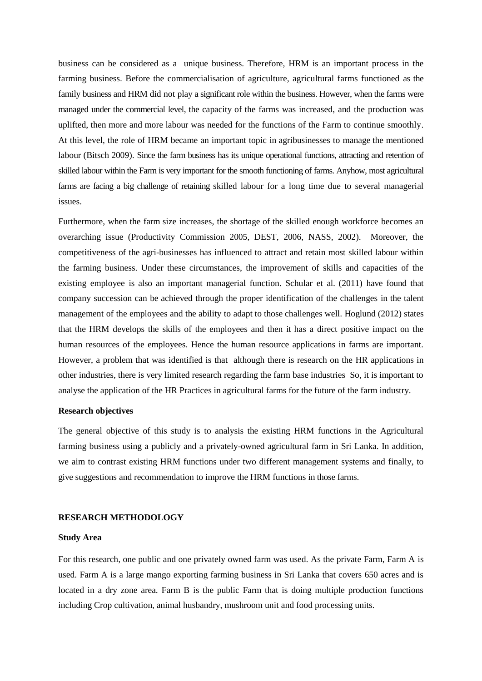business can be considered as a unique business. Therefore, HRM is an important process in the farming business. Before the commercialisation of agriculture, agricultural farms functioned as the family business and HRM did not play a significant role within the business. However, when the farms were managed under the commercial level, the capacity of the farms was increased, and the production was uplifted, then more and more labour was needed for the functions of the Farm to continue smoothly. At this level, the role of HRM became an important topic in agribusinesses to manage the mentioned labour (Bitsch 2009). Since the farm business has its unique operational functions, attracting and retention of skilled labour within the Farm is very important for the smooth functioning of farms. Anyhow, most agricultural farms are facing a big challenge of retaining skilled labour for a long time due to several managerial issues.

Furthermore, when the farm size increases, the shortage of the skilled enough workforce becomes an overarching issue (Productivity Commission 2005, DEST, 2006, NASS, 2002). Moreover, the competitiveness of the agri-businesses has influenced to attract and retain most skilled labour within the farming business. Under these circumstances, the improvement of skills and capacities of the existing employee is also an important managerial function. Schular et al. (2011) have found that company succession can be achieved through the proper identification of the challenges in the talent management of the employees and the ability to adapt to those challenges well. Hoglund (2012) states that the HRM develops the skills of the employees and then it has a direct positive impact on the human resources of the employees. Hence the human resource applications in farms are important. However, a problem that was identified is that although there is research on the HR applications in other industries, there is very limited research regarding the farm base industries So, it is important to analyse the application of the HR Practices in agricultural farms for the future of the farm industry.

# **Research objectives**

The general objective of this study is to analysis the existing HRM functions in the Agricultural farming business using a publicly and a privately-owned agricultural farm in Sri Lanka. In addition, we aim to contrast existing HRM functions under two different management systems and finally, to give suggestions and recommendation to improve the HRM functions in those farms.

## **RESEARCH METHODOLOGY**

## **Study Area**

For this research, one public and one privately owned farm was used. As the private Farm, Farm A is used. Farm A is a large mango exporting farming business in Sri Lanka that covers 650 acres and is located in a dry zone area. Farm B is the public Farm that is doing multiple production functions including Crop cultivation, animal husbandry, mushroom unit and food processing units.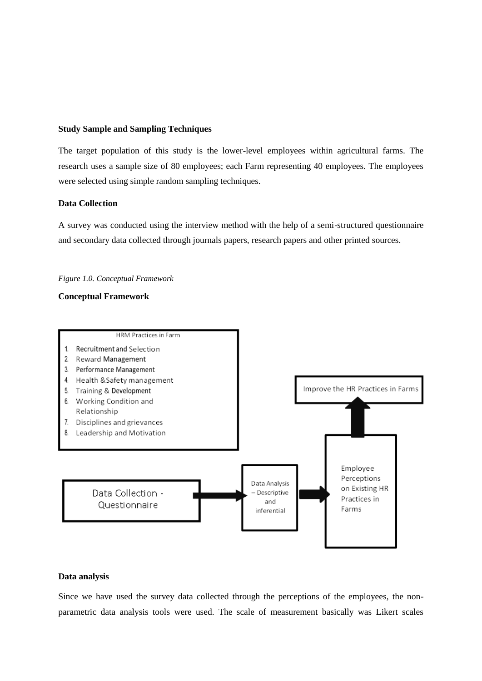## **Study Sample and Sampling Techniques**

The target population of this study is the lower-level employees within agricultural farms. The research uses a sample size of 80 employees; each Farm representing 40 employees. The employees were selected using simple random sampling techniques.

# **Data Collection**

A survey was conducted using the interview method with the help of a semi-structured questionnaire and secondary data collected through journals papers, research papers and other printed sources.

#### *Figure 1.0. Conceptual Framework*

# **Conceptual Framework**



## **Data analysis**

Since we have used the survey data collected through the perceptions of the employees, the nonparametric data analysis tools were used. The scale of measurement basically was Likert scales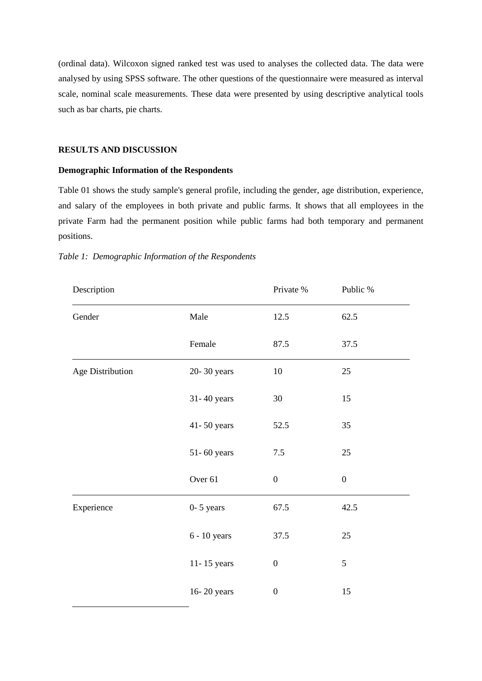(ordinal data). Wilcoxon signed ranked test was used to analyses the collected data. The data were analysed by using SPSS software. The other questions of the questionnaire were measured as interval scale, nominal scale measurements. These data were presented by using descriptive analytical tools such as bar charts, pie charts.

## **RESULTS AND DISCUSSION**

# **Demographic Information of the Respondents**

Table 01 shows the study sample's general profile, including the gender, age distribution, experience, and salary of the employees in both private and public farms. It shows that all employees in the private Farm had the permanent position while public farms had both temporary and permanent positions.

| Description      |                | Private %        | Public %         |
|------------------|----------------|------------------|------------------|
| Gender           | Male           | 12.5             | 62.5             |
|                  | Female         | 87.5             | 37.5             |
| Age Distribution | 20-30 years    | $10\,$           | $25\,$           |
|                  | 31-40 years    | 30               | 15               |
|                  | 41-50 years    | 52.5             | 35               |
|                  | 51-60 years    | $7.5\,$          | $25\,$           |
|                  | Over 61        | $\boldsymbol{0}$ | $\boldsymbol{0}$ |
| Experience       | $0-5$ years    | 67.5             | 42.5             |
|                  | $6 - 10$ years | 37.5             | 25               |
|                  | 11-15 years    | $\boldsymbol{0}$ | $\mathfrak s$    |
|                  | 16-20 years    | $\boldsymbol{0}$ | 15               |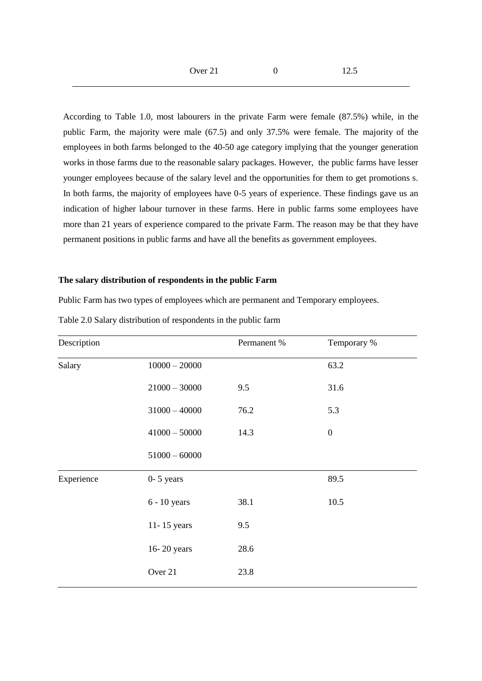According to Table 1.0, most labourers in the private Farm were female (87.5%) while, in the public Farm, the majority were male (67.5) and only 37.5% were female. The majority of the employees in both farms belonged to the 40-50 age category implying that the younger generation works in those farms due to the reasonable salary packages. However, the public farms have lesser younger employees because of the salary level and the opportunities for them to get promotions s. In both farms, the majority of employees have 0-5 years of experience. These findings gave us an indication of higher labour turnover in these farms. Here in public farms some employees have more than 21 years of experience compared to the private Farm. The reason may be that they have permanent positions in public farms and have all the benefits as government employees.

# **The salary distribution of respondents in the public Farm**

Public Farm has two types of employees which are permanent and Temporary employees.

| Description |                 | Permanent % | Temporary %      |
|-------------|-----------------|-------------|------------------|
| Salary      | $10000 - 20000$ |             | 63.2             |
|             | $21000 - 30000$ | 9.5         | 31.6             |
|             | $31000 - 40000$ | 76.2        | 5.3              |
|             | $41000 - 50000$ | 14.3        | $\boldsymbol{0}$ |
|             | $51000 - 60000$ |             |                  |
| Experience  | $0-5$ years     |             | 89.5             |
|             | $6 - 10$ years  | 38.1        | 10.5             |
|             | 11-15 years     | 9.5         |                  |
|             | 16-20 years     | 28.6        |                  |
|             | Over 21         | 23.8        |                  |

Table 2.0 Salary distribution of respondents in the public farm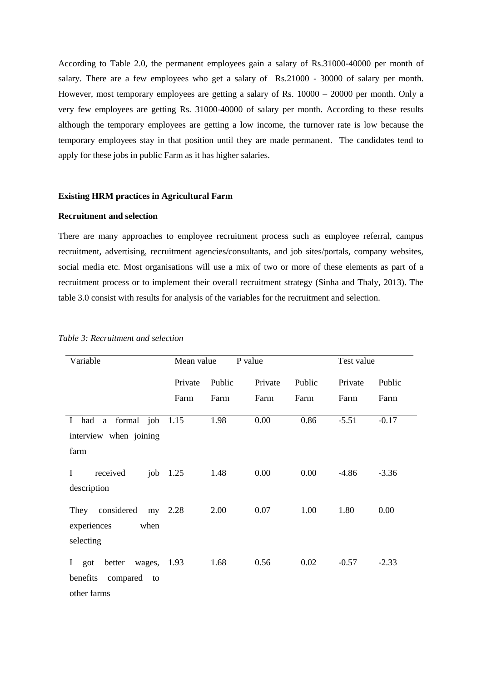According to Table 2.0, the permanent employees gain a salary of Rs.31000-40000 per month of salary. There are a few employees who get a salary of Rs.21000 - 30000 of salary per month. However, most temporary employees are getting a salary of Rs. 10000 – 20000 per month. Only a very few employees are getting Rs. 31000-40000 of salary per month. According to these results although the temporary employees are getting a low income, the turnover rate is low because the temporary employees stay in that position until they are made permanent. The candidates tend to apply for these jobs in public Farm as it has higher salaries.

# **Existing HRM practices in Agricultural Farm**

## **Recruitment and selection**

There are many approaches to employee recruitment process such as employee referral, campus recruitment, advertising, recruitment agencies/consultants, and job sites/portals, company websites, social media etc. Most organisations will use a mix of two or more of these elements as part of a recruitment process or to implement their overall recruitment strategy (Sinha and Thaly, 2013). The table 3.0 consist with results for analysis of the variables for the recruitment and selection.

| Variable                                                                 | Mean value |        | P value |        | Test value |         |  |
|--------------------------------------------------------------------------|------------|--------|---------|--------|------------|---------|--|
|                                                                          | Private    | Public | Private | Public | Private    | Public  |  |
|                                                                          | Farm       | Farm   | Farm    | Farm   | Farm       | Farm    |  |
| I had a formal job                                                       | 1.15       | 1.98   | 0.00    | 0.86   | $-5.51$    | $-0.17$ |  |
| interview when joining<br>farm                                           |            |        |         |        |            |         |  |
| received<br>$\bf{I}$<br>job<br>description                               | 1.25       | 1.48   | 0.00    | 0.00   | $-4.86$    | $-3.36$ |  |
| They considered<br>experiences<br>when<br>selecting                      | my 2.28    | 2.00   | 0.07    | 1.00   | 1.80       | 0.00    |  |
| wages, 1.93<br>I got<br>better<br>benefits<br>compared to<br>other farms |            | 1.68   | 0.56    | 0.02   | $-0.57$    | $-2.33$ |  |

## *Table 3: Recruitment and selection*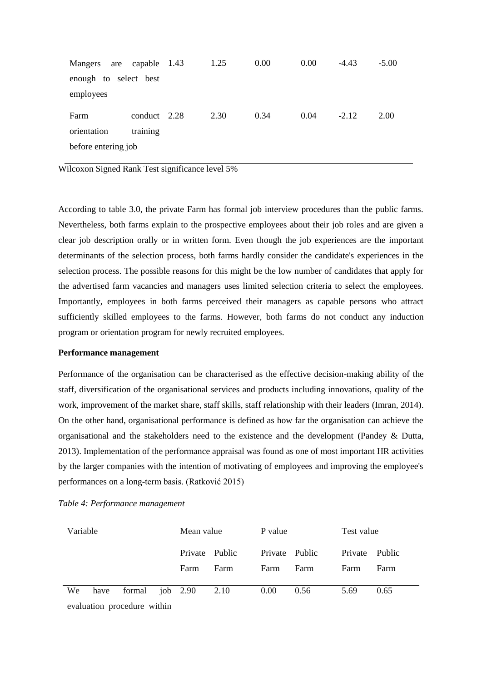| Mangers<br>are        | capable 1.43 | 1.25 | 0.00 | 0.00 | $-4.43$ | $-5.00$ |
|-----------------------|--------------|------|------|------|---------|---------|
| enough to select best |              |      |      |      |         |         |
| employees             |              |      |      |      |         |         |
| Farm                  | conduct 2.28 | 2.30 | 0.34 | 0.04 | $-2.12$ | 2.00    |
| orientation           | training     |      |      |      |         |         |
| before entering job   |              |      |      |      |         |         |

According to table 3.0, the private Farm has formal job interview procedures than the public farms. Nevertheless, both farms explain to the prospective employees about their job roles and are given a clear job description orally or in written form. Even though the job experiences are the important determinants of the selection process, both farms hardly consider the candidate's experiences in the selection process. The possible reasons for this might be the low number of candidates that apply for the advertised farm vacancies and managers uses limited selection criteria to select the employees. Importantly, employees in both farms perceived their managers as capable persons who attract sufficiently skilled employees to the farms. However, both farms do not conduct any induction program or orientation program for newly recruited employees.

# **Performance management**

Performance of the organisation can be characterised as the effective decision-making ability of the staff, diversification of the organisational services and products including innovations, quality of the work, improvement of the market share, staff skills, staff relationship with their leaders (Imran, 2014). On the other hand, organisational performance is defined as how far the organisation can achieve the organisational and the stakeholders need to the existence and the development (Pandey & Dutta, 2013). Implementation of the performance appraisal was found as one of most important HR activities by the larger companies with the intention of motivating of employees and improving the employee's performances on a long-term basis. (Ratković 2015)

| Variable |      |                             | Mean value                 |      | P value |                   |      | Test value |                |      |  |
|----------|------|-----------------------------|----------------------------|------|---------|-------------------|------|------------|----------------|------|--|
|          |      |                             | Private Public             |      |         | Private Public    |      |            | Private Public |      |  |
|          |      |                             | Farm                       | Farm |         | Farm              | Farm |            | Farm           | Farm |  |
|          |      |                             |                            |      |         |                   |      |            |                |      |  |
| We       | have |                             | formal $\mu$ iob 2.90 2.10 |      |         | 0.00 <sub>1</sub> | 0.56 |            | 5.69           | 0.65 |  |
|          |      | evaluation procedure within |                            |      |         |                   |      |            |                |      |  |

*Table 4: Performance management*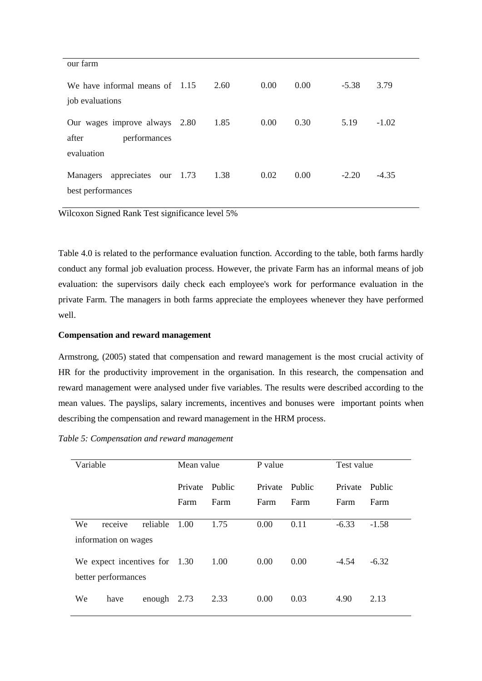| our farm                                                             |      |      |      |         |         |
|----------------------------------------------------------------------|------|------|------|---------|---------|
| We have informal means of $1.15$<br>job evaluations                  | 2.60 | 0.00 | 0.00 | $-5.38$ | 3.79    |
| Our wages improve always 2.80<br>after<br>performances<br>evaluation | 1.85 | 0.00 | 0.30 | 5.19    | $-1.02$ |
| appreciates our 1.73<br>Managers<br>best performances                | 1.38 | 0.02 | 0.00 | $-2.20$ | $-4.35$ |

Table 4.0 is related to the performance evaluation function. According to the table, both farms hardly conduct any formal job evaluation process. However, the private Farm has an informal means of job evaluation: the supervisors daily check each employee's work for performance evaluation in the private Farm. The managers in both farms appreciate the employees whenever they have performed well.

# **Compensation and reward management**

Armstrong, (2005) stated that compensation and reward management is the most crucial activity of HR for the productivity improvement in the organisation. In this research, the compensation and reward management were analysed under five variables. The results were described according to the mean values. The payslips, salary increments, incentives and bonuses were important points when describing the compensation and reward management in the HRM process.

# *Table 5: Compensation and reward management*

| Variable                        |                      |          | Mean value |        | P value |         | Test value |         |
|---------------------------------|----------------------|----------|------------|--------|---------|---------|------------|---------|
|                                 |                      |          | Private    | Public | Private | Public  | Private    | Public  |
|                                 |                      |          | Farm       | Farm   | Farm    | Farm    | Farm       | Farm    |
| We                              | receive              | reliable | 1.00       | 1.75   | 0.00    | 0.11    | $-6.33$    | $-1.58$ |
|                                 | information on wages |          |            |        |         |         |            |         |
| We expect incentives for $1.30$ |                      |          | 1.00       | 0.00   | 0.00    | $-4.54$ | $-6.32$    |         |
| better performances             |                      |          |            |        |         |         |            |         |
| We                              | have                 | enough   | 2.73       | 2.33   | 0.00    | 0.03    | 4.90       | 2.13    |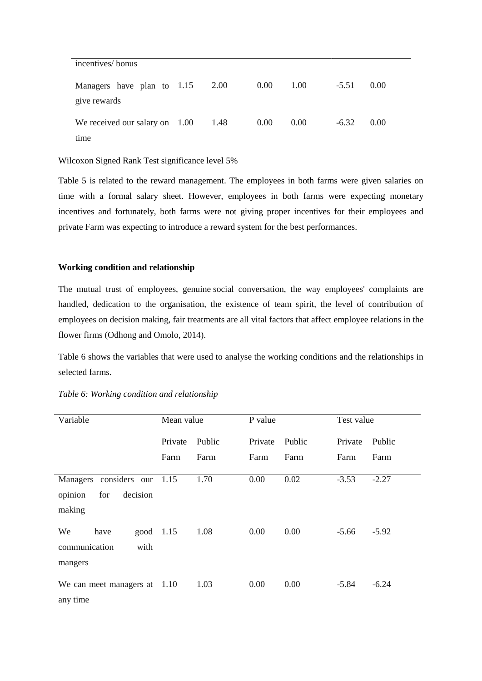| incentives/bonus                           |      |      |      |         |        |
|--------------------------------------------|------|------|------|---------|--------|
| Managers have plan to 1.15<br>give rewards | 2.00 | 0.00 | 1.00 | $-5.51$ | (0.00) |
| We received our salary on $1.00$<br>time   | 1.48 | 0.00 | 0.00 | $-6.32$ | 0.00   |

Table 5 is related to the reward management. The employees in both farms were given salaries on time with a formal salary sheet. However, employees in both farms were expecting monetary incentives and fortunately, both farms were not giving proper incentives for their employees and private Farm was expecting to introduce a reward system for the best performances.

# **Working condition and relationship**

The mutual trust of employees, genuine social conversation, the way employees' complaints are handled, dedication to the organisation, the existence of team spirit, the level of contribution of employees on decision making, fair treatments are all vital factors that affect employee relations in the flower firms (Odhong and Omolo, 2014).

Table 6 shows the variables that were used to analyse the working conditions and the relationships in selected farms.

| Variable                                                               | Mean value |        | P value |        |         | Test value |  |
|------------------------------------------------------------------------|------------|--------|---------|--------|---------|------------|--|
|                                                                        | Private    | Public | Private | Public | Private | Public     |  |
|                                                                        | Farm       | Farm   | Farm    | Farm   | Farm    | Farm       |  |
| considers our 1.15<br>Managers<br>opinion<br>decision<br>for<br>making |            | 1.70   | 0.00    | 0.02   | $-3.53$ | $-2.27$    |  |
| good 1.15<br>We<br>have<br>communication<br>with<br>mangers            |            | 1.08   | 0.00    | 0.00   | $-5.66$ | $-5.92$    |  |
| We can meet managers at $1.10$<br>any time                             |            | 1.03   | 0.00    | 0.00   | $-5.84$ | $-6.24$    |  |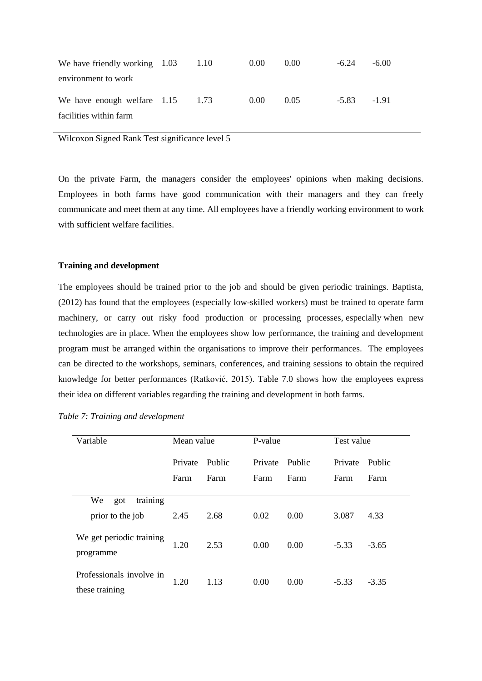| We have friendly working $1.03$ 1.10                         |  | $0.00^{\circ}$ | $0.00^{\circ}$ | $-6.24$ | $-6.00$ |
|--------------------------------------------------------------|--|----------------|----------------|---------|---------|
| environment to work                                          |  |                |                |         |         |
| We have enough welfare $1.15$ 1.73<br>facilities within farm |  | (0.00)         | 0.05           | $-5.83$ | $-1.91$ |

On the private Farm, the managers consider the employees' opinions when making decisions. Employees in both farms have good communication with their managers and they can freely communicate and meet them at any time. All employees have a friendly working environment to work with sufficient welfare facilities.

## **Training and development**

The employees should be trained prior to the job and should be given periodic trainings. Baptista, (2012) has found that the employees (especially low-skilled workers) must be trained to operate farm machinery, or carry out risky food production or processing processes, especially when new technologies are in place. When the employees show low performance, the training and development program must be arranged within the organisations to improve their performances. The employees can be directed to the workshops, seminars, conferences, and training sessions to obtain the required knowledge for better performances (Ratković, 2015). Table 7.0 shows how the employees express their idea on different variables regarding the training and development in both farms.

| Variable                                   | Mean value |        | P-value |        | Test value |         |
|--------------------------------------------|------------|--------|---------|--------|------------|---------|
|                                            | Private    | Public | Private | Public | Private    | Public  |
|                                            | Farm       | Farm   | Farm    | Farm   | Farm       | Farm    |
| training<br>We<br>got                      |            |        |         |        |            |         |
| prior to the job                           | 2.45       | 2.68   | 0.02    | 0.00   | 3.087      | 4.33    |
| We get periodic training<br>programme      | 1.20       | 2.53   | 0.00    | 0.00   | $-5.33$    | $-3.65$ |
| Professionals involve in<br>these training | 1.20       | 1.13   | 0.00    | 0.00   | $-5.33$    | $-3.35$ |

*Table 7: Training and development*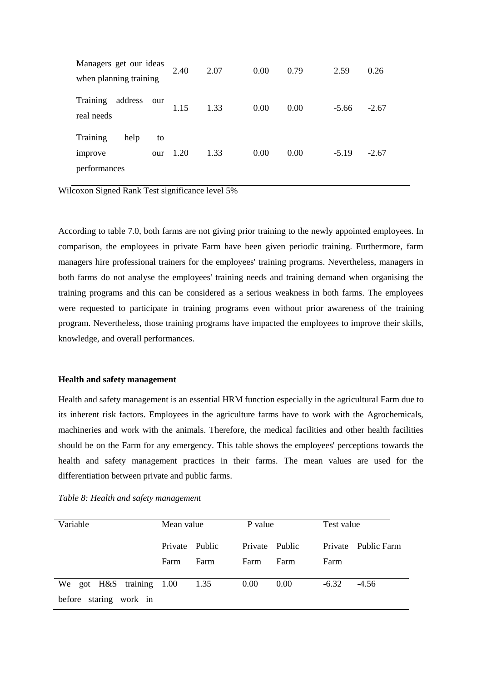| Managers get our ideas<br>when planning training |           | 2.40 | 2.07 | 0.00 | 0.79 | 2.59    | 0.26    |
|--------------------------------------------------|-----------|------|------|------|------|---------|---------|
| Training<br>address<br>real needs                | our       | 1.15 | 1.33 | 0.00 | 0.00 | $-5.66$ | $-2.67$ |
| Training<br>help<br>improve<br>performances      | to<br>our | 1.20 | 1.33 | 0.00 | 0.00 | $-5.19$ | $-2.67$ |

According to table 7.0, both farms are not giving prior training to the newly appointed employees. In comparison, the employees in private Farm have been given periodic training. Furthermore, farm managers hire professional trainers for the employees' training programs. Nevertheless, managers in both farms do not analyse the employees' training needs and training demand when organising the training programs and this can be considered as a serious weakness in both farms. The employees were requested to participate in training programs even without prior awareness of the training program. Nevertheless, those training programs have impacted the employees to improve their skills, knowledge, and overall performances.

## **Health and safety management**

Health and safety management is an essential HRM function especially in the agricultural Farm due to its inherent risk factors. Employees in the agriculture farms have to work with the Agrochemicals, machineries and work with the animals. Therefore, the medical facilities and other health facilities should be on the Farm for any emergency. This table shows the employees' perceptions towards the health and safety management practices in their farms. The mean values are used for the differentiation between private and public farms.

| Variable                 | Mean value     |      | P value        |      | Test value |                     |
|--------------------------|----------------|------|----------------|------|------------|---------------------|
|                          | Private Public |      | Private Public |      |            | Private Public Farm |
|                          | Farm           | Farm | Farm           | Farm | Farm       |                     |
| We got H&S training 1.00 |                | 1.35 | 0.00           | 0.00 | $-6.32$    | $-4.56$             |
| before staring work in   |                |      |                |      |            |                     |

*Table 8: Health and safety management*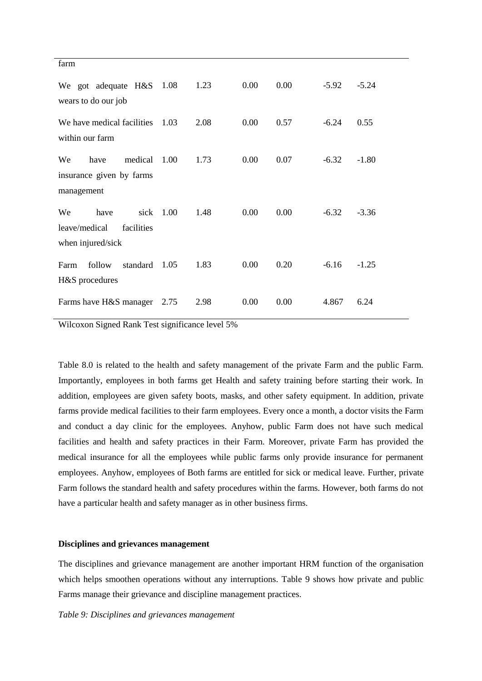| farm                                              |           |      |      |      |         |         |  |  |
|---------------------------------------------------|-----------|------|------|------|---------|---------|--|--|
| We got adequate H&S 1.08<br>wears to do our job   |           | 1.23 | 0.00 | 0.00 | $-5.92$ | $-5.24$ |  |  |
| We have medical facilities<br>within our farm     | 1.03      | 2.08 | 0.00 | 0.57 | $-6.24$ | 0.55    |  |  |
| medical<br>We<br>have<br>insurance given by farms | 1.00      | 1.73 | 0.00 | 0.07 | $-6.32$ | $-1.80$ |  |  |
| management                                        |           |      |      |      |         |         |  |  |
| We<br>have<br>leave/medical<br>facilities         | sick 1.00 | 1.48 | 0.00 | 0.00 | $-6.32$ | $-3.36$ |  |  |
| when injured/sick                                 |           |      |      |      |         |         |  |  |
| follow<br>standard<br>Farm<br>H&S procedures      | 1.05      | 1.83 | 0.00 | 0.20 | $-6.16$ | $-1.25$ |  |  |
| Farms have H&S manager                            | 2.75      | 2.98 | 0.00 | 0.00 | 4.867   | 6.24    |  |  |

Table 8.0 is related to the health and safety management of the private Farm and the public Farm. Importantly, employees in both farms get Health and safety training before starting their work. In addition, employees are given safety boots, masks, and other safety equipment. In addition, private farms provide medical facilities to their farm employees. Every once a month, a doctor visits the Farm and conduct a day clinic for the employees. Anyhow, public Farm does not have such medical facilities and health and safety practices in their Farm. Moreover, private Farm has provided the medical insurance for all the employees while public farms only provide insurance for permanent employees. Anyhow, employees of Both farms are entitled for sick or medical leave. Further, private Farm follows the standard health and safety procedures within the farms. However, both farms do not have a particular health and safety manager as in other business firms.

## **Disciplines and grievances management**

The disciplines and grievance management are another important HRM function of the organisation which helps smoothen operations without any interruptions. Table 9 shows how private and public Farms manage their grievance and discipline management practices.

*Table 9: Disciplines and grievances management*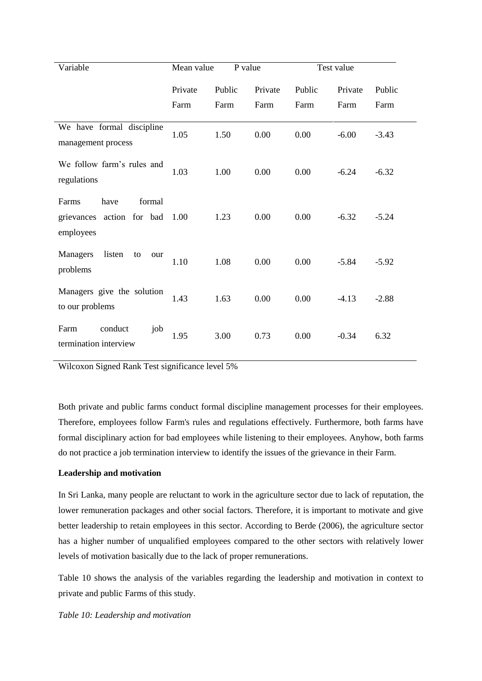| Variable                                                          | Mean value | P value |         | Test value |         |         |
|-------------------------------------------------------------------|------------|---------|---------|------------|---------|---------|
|                                                                   | Private    | Public  | Private | Public     | Private | Public  |
|                                                                   | Farm       | Farm    | Farm    | Farm       | Farm    | Farm    |
| We have formal discipline<br>management process                   | 1.05       | 1.50    | 0.00    | 0.00       | $-6.00$ | $-3.43$ |
| We follow farm's rules and<br>regulations                         | 1.03       | 1.00    | 0.00    | 0.00       | $-6.24$ | $-6.32$ |
| Farms<br>have<br>formal<br>grievances action for bad<br>employees | 1.00       | 1.23    | 0.00    | 0.00       | $-6.32$ | $-5.24$ |
| <b>Managers</b><br>listen<br>to<br>our<br>problems                | 1.10       | 1.08    | 0.00    | 0.00       | $-5.84$ | $-5.92$ |
| Managers give the solution<br>to our problems                     | 1.43       | 1.63    | 0.00    | 0.00       | $-4.13$ | $-2.88$ |
| conduct<br>job<br>Farm<br>termination interview                   | 1.95       | 3.00    | 0.73    | 0.00       | $-0.34$ | 6.32    |

Both private and public farms conduct formal discipline management processes for their employees. Therefore, employees follow Farm's rules and regulations effectively. Furthermore, both farms have formal disciplinary action for bad employees while listening to their employees. Anyhow, both farms do not practice a job termination interview to identify the issues of the grievance in their Farm.

# **Leadership and motivation**

In Sri Lanka, many people are reluctant to work in the agriculture sector due to lack of reputation, the lower remuneration packages and other social factors. Therefore, it is important to motivate and give better leadership to retain employees in this sector. According to Berde (2006), the agriculture sector has a higher number of unqualified employees compared to the other sectors with relatively lower levels of motivation basically due to the lack of proper remunerations.

Table 10 shows the analysis of the variables regarding the leadership and motivation in context to private and public Farms of this study.

*Table 10: Leadership and motivation*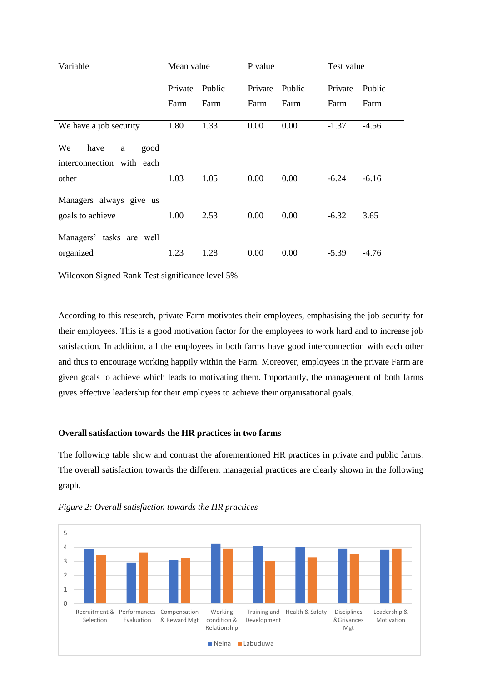| Variable                  | Mean value |        | P value |        | Test value |         |
|---------------------------|------------|--------|---------|--------|------------|---------|
|                           | Private    | Public | Private | Public | Private    | Public  |
|                           | Farm       | Farm   | Farm    | Farm   | Farm       | Farm    |
| We have a job security    | 1.80       | 1.33   | 0.00    | 0.00   | $-1.37$    | $-4.56$ |
| We<br>have<br>good<br>a   |            |        |         |        |            |         |
| interconnection with each |            |        |         |        |            |         |
| other                     | 1.03       | 1.05   | 0.00    | 0.00   | $-6.24$    | $-6.16$ |
| Managers always give us   |            |        |         |        |            |         |
| goals to achieve          | 1.00       | 2.53   | 0.00    | 0.00   | $-6.32$    | 3.65    |
| Managers' tasks are well  |            |        |         |        |            |         |
| organized                 | 1.23       | 1.28   | 0.00    | 0.00   | $-5.39$    | $-4.76$ |

According to this research, private Farm motivates their employees, emphasising the job security for their employees. This is a good motivation factor for the employees to work hard and to increase job satisfaction. In addition, all the employees in both farms have good interconnection with each other and thus to encourage working happily within the Farm. Moreover, employees in the private Farm are given goals to achieve which leads to motivating them. Importantly, the management of both farms gives effective leadership for their employees to achieve their organisational goals.

# **Overall satisfaction towards the HR practices in two farms**

The following table show and contrast the aforementioned HR practices in private and public farms. The overall satisfaction towards the different managerial practices are clearly shown in the following graph.



*Figure 2: Overall satisfaction towards the HR practices*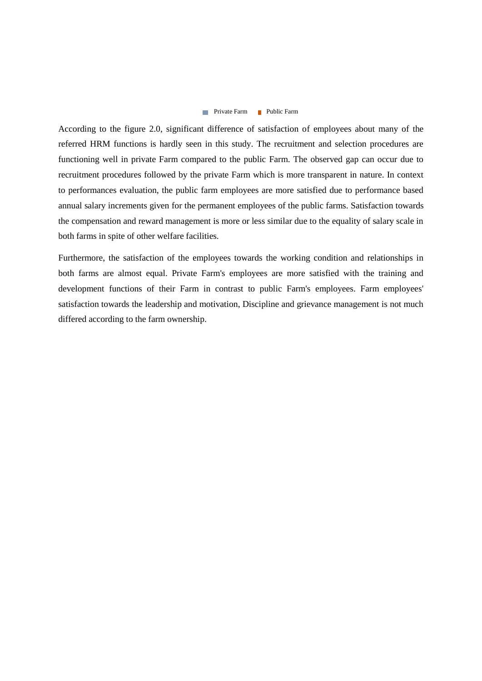## **Private Farm Public Farm**

According to the figure 2.0, significant difference of satisfaction of employees about many of the referred HRM functions is hardly seen in this study. The recruitment and selection procedures are functioning well in private Farm compared to the public Farm. The observed gap can occur due to recruitment procedures followed by the private Farm which is more transparent in nature. In context to performances evaluation, the public farm employees are more satisfied due to performance based annual salary increments given for the permanent employees of the public farms. Satisfaction towards the compensation and reward management is more or less similar due to the equality of salary scale in both farms in spite of other welfare facilities.

Furthermore, the satisfaction of the employees towards the working condition and relationships in both farms are almost equal. Private Farm's employees are more satisfied with the training and development functions of their Farm in contrast to public Farm's employees. Farm employees' satisfaction towards the leadership and motivation, Discipline and grievance management is not much differed according to the farm ownership.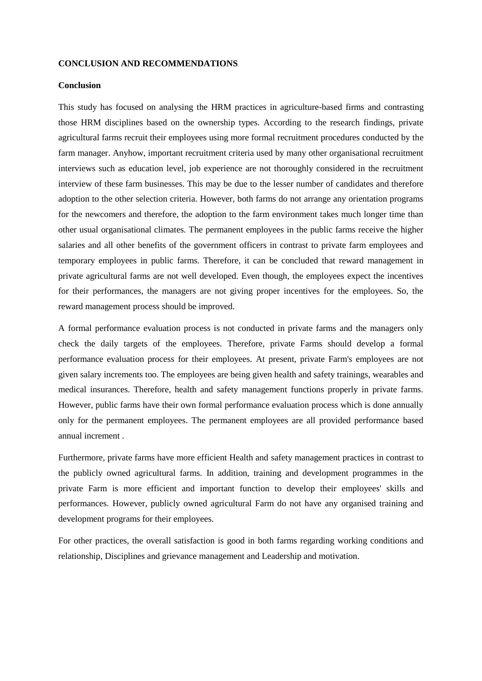### **CONCLUSION AND RECOMMENDATIONS**

# **Conclusion**

This study has focused on analysing the HRM practices in agriculture-based firms and contrasting those HRM disciplines based on the ownership types. According to the research findings, private agricultural farms recruit their employees using more formal recruitment procedures conducted by the farm manager. Anyhow, important recruitment criteria used by many other organisational recruitment interviews such as education level, job experience are not thoroughly considered in the recruitment interview of these farm businesses. This may be due to the lesser number of candidates and therefore adoption to the other selection criteria. However, both farms do not arrange any orientation programs for the newcomers and therefore, the adoption to the farm environment takes much longer time than other usual organisational climates. The permanent employees in the public farms receive the higher salaries and all other benefits of the government officers in contrast to private farm employees and temporary employees in public farms. Therefore, it can be concluded that reward management in private agricultural farms are not well developed. Even though, the employees expect the incentives for their performances, the managers are not giving proper incentives for the employees. So, the reward management process should be improved.

A formal performance evaluation process is not conducted in private farms and the managers only check the daily targets of the employees. Therefore, private Farms should develop a formal performance evaluation process for their employees. At present, private Farm's employees are not given salary increments too. The employees are being given health and safety trainings, wearables and medical insurances. Therefore, health and safety management functions properly in private farms. However, public farms have their own formal performance evaluation process which is done annually only for the permanent employees. The permanent employees are all provided performance based annual increment .

Furthermore, private farms have more efficient Health and safety management practices in contrast to the publicly owned agricultural farms. In addition, training and development programmes in the private Farm is more efficient and important function to develop their employees' skills and performances. However, publicly owned agricultural Farm do not have any organised training and development programs for their employees.

For other practices, the overall satisfaction is good in both farms regarding working conditions and relationship, Disciplines and grievance management and Leadership and motivation.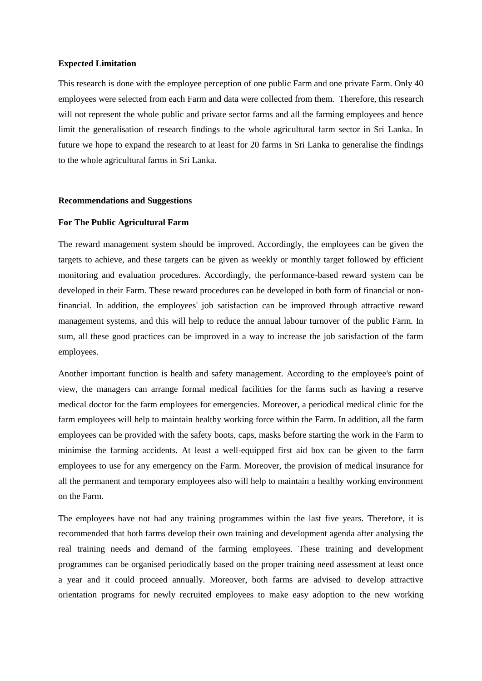#### **Expected Limitation**

This research is done with the employee perception of one public Farm and one private Farm. Only 40 employees were selected from each Farm and data were collected from them. Therefore, this research will not represent the whole public and private sector farms and all the farming employees and hence limit the generalisation of research findings to the whole agricultural farm sector in Sri Lanka. In future we hope to expand the research to at least for 20 farms in Sri Lanka to generalise the findings to the whole agricultural farms in Sri Lanka.

## **Recommendations and Suggestions**

## **For The Public Agricultural Farm**

The reward management system should be improved. Accordingly, the employees can be given the targets to achieve, and these targets can be given as weekly or monthly target followed by efficient monitoring and evaluation procedures. Accordingly, the performance-based reward system can be developed in their Farm. These reward procedures can be developed in both form of financial or nonfinancial. In addition, the employees' job satisfaction can be improved through attractive reward management systems, and this will help to reduce the annual labour turnover of the public Farm. In sum, all these good practices can be improved in a way to increase the job satisfaction of the farm employees.

Another important function is health and safety management. According to the employee's point of view, the managers can arrange formal medical facilities for the farms such as having a reserve medical doctor for the farm employees for emergencies. Moreover, a periodical medical clinic for the farm employees will help to maintain healthy working force within the Farm. In addition, all the farm employees can be provided with the safety boots, caps, masks before starting the work in the Farm to minimise the farming accidents. At least a well-equipped first aid box can be given to the farm employees to use for any emergency on the Farm. Moreover, the provision of medical insurance for all the permanent and temporary employees also will help to maintain a healthy working environment on the Farm.

The employees have not had any training programmes within the last five years. Therefore, it is recommended that both farms develop their own training and development agenda after analysing the real training needs and demand of the farming employees. These training and development programmes can be organised periodically based on the proper training need assessment at least once a year and it could proceed annually. Moreover, both farms are advised to develop attractive orientation programs for newly recruited employees to make easy adoption to the new working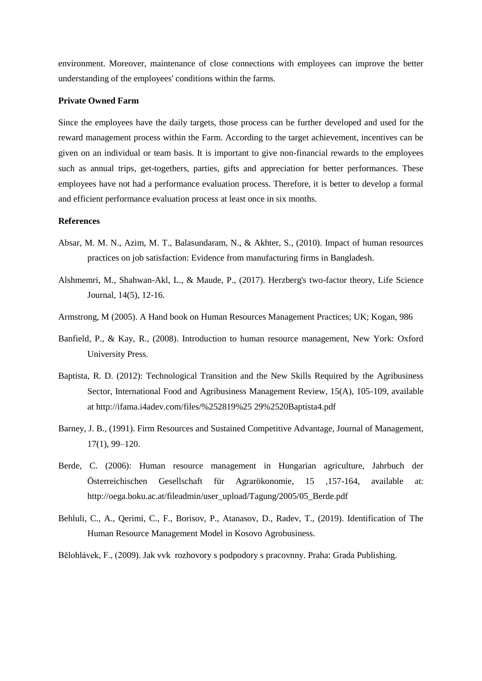environment. Moreover, maintenance of close connections with employees can improve the better understanding of the employees' conditions within the farms.

# **Private Owned Farm**

Since the employees have the daily targets, those process can be further developed and used for the reward management process within the Farm. According to the target achievement, incentives can be given on an individual or team basis. It is important to give non-financial rewards to the employees such as annual trips, get-togethers, parties, gifts and appreciation for better performances. These employees have not had a performance evaluation process. Therefore, it is better to develop a formal and efficient performance evaluation process at least once in six months.

## **References**

- Absar, M. M. N., Azim, M. T., Balasundaram, N., & Akhter, S., (2010). Impact of human resources practices on job satisfaction: Evidence from manufacturing firms in Bangladesh.
- Alshmemri, M., Shahwan-Akl, L., & Maude, P., (2017). Herzberg's two-factor theory, Life Science Journal, 14(5), 12-16.
- Armstrong, M (2005). A Hand book on Human Resources Management Practices; UK; Kogan, 986
- Banfield, P., & Kay, R., (2008). Introduction to human resource management, New York: Oxford University Press.
- Baptista, R. D. (2012): Technological Transition and the New Skills Required by the Agribusiness Sector, International Food and Agribusiness Management Review, 15(A), 105-109, available at http://ifama.i4adev.com/files/%252819%25 29%2520Baptista4.pdf
- Barney, J. B., (1991). Firm Resources and Sustained Competitive Advantage, Journal of Management, 17(1), 99–120.
- Berde, C. (2006): Human resource management in Hungarian agriculture, Jahrbuch der Österreichischen Gesellschaft für Agrarökonomie, 15 ,157-164, available at: http://oega.boku.ac.at/fileadmin/user\_upload/Tagung/2005/05\_Berde.pdf
- Behluli, C., A., Qerimi, C., F., Borisov, P., Atanasov, D., Radev, T., (2019). Identification of The Human Resource Management Model in Kosovo Agrobusiness.

Bělohlávek, F., (2009). Jak vvk rozhovory s podpodory s pracovnny. Praha: Grada Publishing.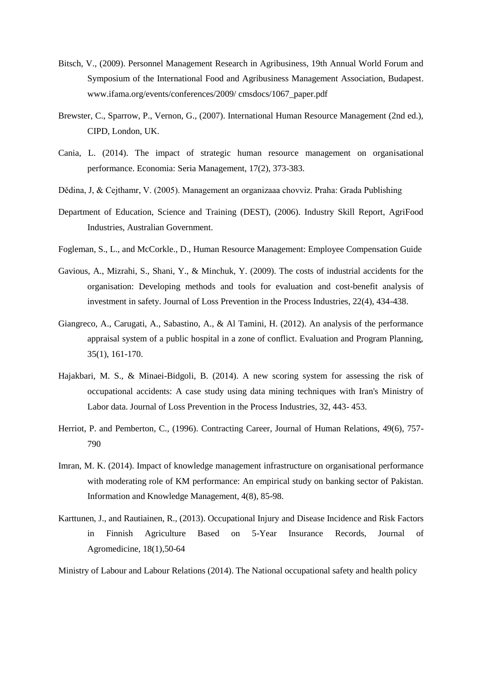- Bitsch, V., (2009). Personnel Management Research in Agribusiness, 19th Annual World Forum and Symposium of the International Food and Agribusiness Management Association, Budapest. www.ifama.org/events/conferences/2009/ cmsdocs/1067\_paper.pdf
- Brewster, C., Sparrow, P., Vernon, G., (2007). International Human Resource Management (2nd ed.), CIPD, London, UK.
- Cania, L. (2014). The impact of strategic human resource management on organisational performance. Economia: Seria Management, 17(2), 373-383.
- Dědina, J, & Cejthamr, V. (2005). Management an organizaaa chovviz. Praha: Grada Publishing
- Department of Education, Science and Training (DEST), (2006). Industry Skill Report, AgriFood Industries, Australian Government.
- Fogleman, S., L., and McCorkle., D., Human Resource Management: Employee Compensation Guide
- Gavious, A., Mizrahi, S., Shani, Y., & Minchuk, Y. (2009). The costs of industrial accidents for the organisation: Developing methods and tools for evaluation and cost-benefit analysis of investment in safety. Journal of Loss Prevention in the Process Industries, 22(4), 434-438.
- Giangreco, A., Carugati, A., Sabastino, A., & Al Tamini, H. (2012). An analysis of the performance appraisal system of a public hospital in a zone of conflict. Evaluation and Program Planning, 35(1), 161-170.
- Hajakbari, M. S., & Minaei-Bidgoli, B. (2014). A new scoring system for assessing the risk of occupational accidents: A case study using data mining techniques with Iran's Ministry of Labor data. Journal of Loss Prevention in the Process Industries, 32, 443- 453.
- Herriot, P. and Pemberton, C., (1996). Contracting Career, Journal of Human Relations, 49(6), 757- 790
- Imran, M. K. (2014). Impact of knowledge management infrastructure on organisational performance with moderating role of KM performance: An empirical study on banking sector of Pakistan. Information and Knowledge Management, 4(8), 85-98.
- Karttunen, J., and Rautiainen, R., (2013). Occupational Injury and Disease Incidence and Risk Factors in Finnish Agriculture Based on 5-Year Insurance Records, [Journal of](https://www.researchgate.net/journal/Journal-of-Agromedicine-1545-0813)  [Agromedicine,](https://www.researchgate.net/journal/Journal-of-Agromedicine-1545-0813) 18(1),50-64

Ministry of Labour and Labour Relations (2014). The National occupational safety and health policy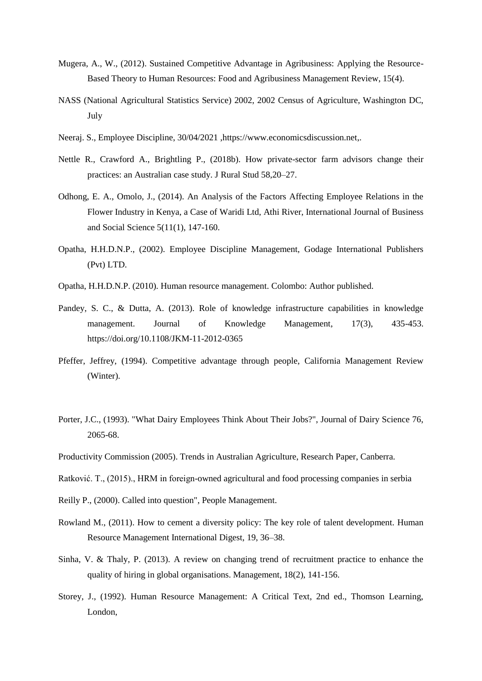- Mugera, A., W., (2012). Sustained Competitive Advantage in Agribusiness: Applying the Resource-Based Theory to Human Resources: Food and Agribusiness Management Review, 15(4).
- NASS (National Agricultural Statistics Service) 2002, 2002 Census of Agriculture, Washington DC, July
- Neeraj. S., Employee Discipline, 30/04/2021 [,https://www.economicsdiscussion.net,](https://www.economicsdiscussion.net/).
- Nettle R., Crawford A., Brightling P., (2018b). How private-sector farm advisors change their practices: an Australian case study. J Rural Stud 58,20–27.
- Odhong, E. A., Omolo, J., (2014). An Analysis of the Factors Affecting Employee Relations in the Flower Industry in Kenya, a Case of Waridi Ltd, Athi River, International Journal of Business and Social Science 5(11(1), 147-160.
- Opatha, H.H.D.N.P., (2002). Employee Discipline Management, Godage International Publishers (Pvt) LTD.
- Opatha, H.H.D.N.P. (2010). Human resource management. Colombo: Author published.
- Pandey, S. C., & Dutta, A. (2013). Role of knowledge infrastructure capabilities in knowledge management. Journal of Knowledge Management, 17(3), 435-453. <https://doi.org/10.1108/JKM-11-2012-0365>
- Pfeffer, Jeffrey, (1994). Competitive advantage through people, California Management Review (Winter).
- Porter, J.C., (1993). "What Dairy Employees Think About Their Jobs?", Journal of Dairy Science 76, 2065-68.
- Productivity Commission (2005). Trends in Australian Agriculture, Research Paper, Canberra.
- Ratković. T., (2015)., HRM in foreign-owned agricultural and food processing companies in serbia
- Reilly P., (2000). Called into question", People Management.
- Rowland M., (2011). How to cement a diversity policy: The key role of talent development. Human Resource Management International Digest, 19, 36–38.
- Sinha, V. & Thaly, P. (2013). A review on changing trend of recruitment practice to enhance the quality of hiring in global organisations. Management, 18(2), 141-156.
- Storey, J., (1992). Human Resource Management: A Critical Text, 2nd ed., Thomson Learning, London,